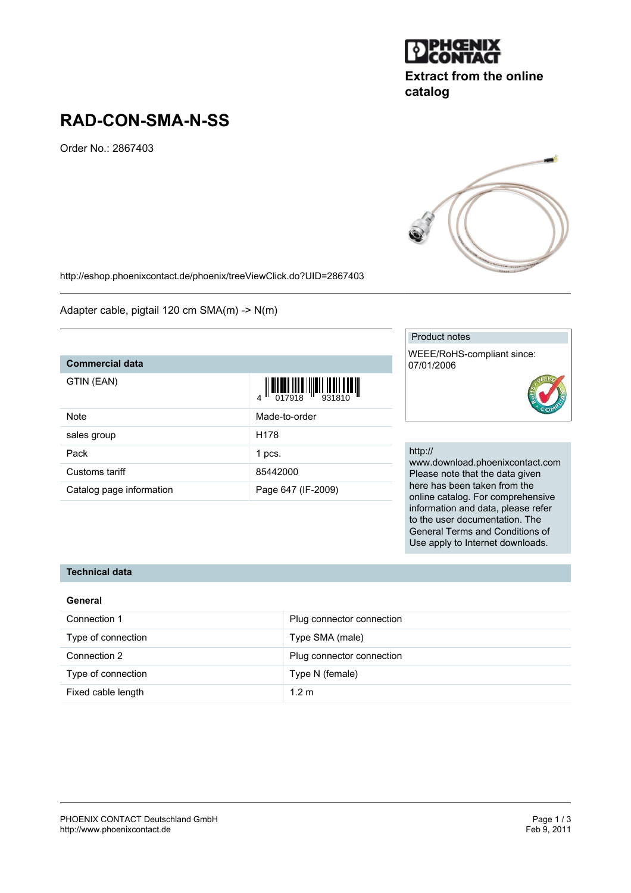

# **Extract from the online catalog**

# **RAD-CON-SMA-N-SS**

Order No.: 2867403



Adapter cable, pigtail 120 cm SMA(m) -> N(m)

## **Commercial data**

GTIN (

| GTIN (EAN)     |                  |
|----------------|------------------|
| Note           | Made-to-order    |
| sales group    | H <sub>178</sub> |
| Pack           | 1 pcs.           |
| Customs tariff | 85442000         |

Catalog page information Page 647 (IF-2009)

### Product notes

WEEE/RoHS-compliant since: 07/01/2006



## http://

www.download.phoenixcontact.com Please note that the data given here has been taken from the online catalog. For comprehensive information and data, please refer to the user documentation. The General Terms and Conditions of Use apply to Internet downloads.

#### **Technical data**

| General            |                           |
|--------------------|---------------------------|
| Connection 1       | Plug connector connection |
| Type of connection | Type SMA (male)           |
| Connection 2       | Plug connector connection |
| Type of connection | Type N (female)           |
| Fixed cable length | 1.2 <sub>m</sub>          |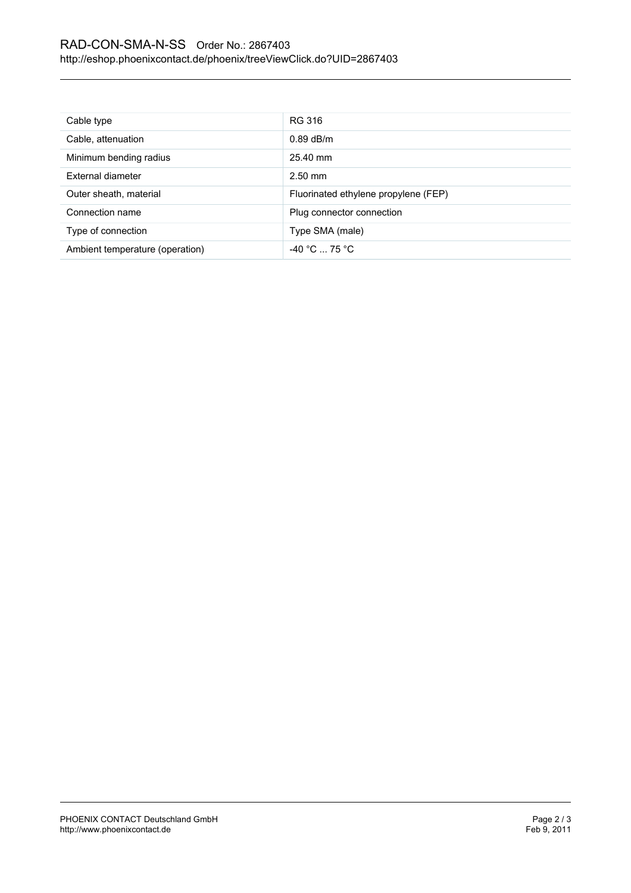## RAD-CON-SMA-N-SS Order No.: 2867403 <http://eshop.phoenixcontact.de/phoenix/treeViewClick.do?UID=2867403>

| Cable type                      | RG 316                               |
|---------------------------------|--------------------------------------|
| Cable, attenuation              | $0.89$ dB/m                          |
| Minimum bending radius          | 25.40 mm                             |
| External diameter               | $2.50$ mm                            |
| Outer sheath, material          | Fluorinated ethylene propylene (FEP) |
| Connection name                 | Plug connector connection            |
| Type of connection              | Type SMA (male)                      |
| Ambient temperature (operation) | $-40 °C  75 °C$                      |